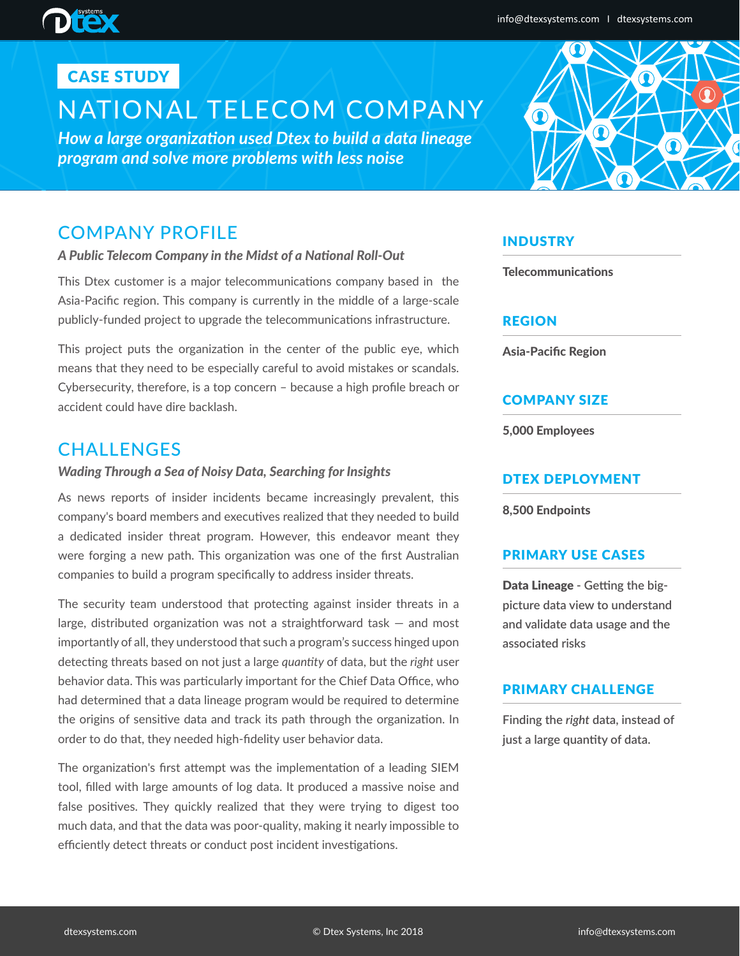## CASE STUDY

# NATIONAL TELECOM COMPANY

*How a large organization used Dtex to build a data lineage program and solve more problems with less noise* 

## COMPANY PROFILE

## *A Public Telecom Company in the Midst of a National Roll-Out*

This Dtex customer is a major telecommunications company based in the Asia-Pacific region. This company is currently in the middle of a large-scale publicly-funded project to upgrade the telecommunications infrastructure.

This project puts the organization in the center of the public eye, which means that they need to be especially careful to avoid mistakes or scandals. Cybersecurity, therefore, is a top concern – because a high profile breach or accident could have dire backlash.

## **CHALLENGES**

## *Wading Through a Sea of Noisy Data, Searching for Insights*

As news reports of insider incidents became increasingly prevalent, this company's board members and executives realized that they needed to build a dedicated insider threat program. However, this endeavor meant they were forging a new path. This organization was one of the first Australian companies to build a program specifically to address insider threats.

The security team understood that protecting against insider threats in a large, distributed organization was not a straightforward task — and most importantly of all, they understood that such a program's success hinged upon detecting threats based on not just a large *quantity* of data, but the *right* user behavior data. This was particularly important for the Chief Data Office, who had determined that a data lineage program would be required to determine the origins of sensitive data and track its path through the organization. In order to do that, they needed high-fidelity user behavior data.

The organization's first attempt was the implementation of a leading SIEM tool, filled with large amounts of log data. It produced a massive noise and false positives. They quickly realized that they were trying to digest too much data, and that the data was poor-quality, making it nearly impossible to efficiently detect threats or conduct post incident investigations.

## INDUSTRY

**Telecommunications** 

## REGION

Asia-Pacific Region

## COMPANY SIZE

5,000 Employees

## DTEX DEPLOYMENT

8,500 Endpoints

## PRIMARY USE CASES

Data Lineage **- Getting the bigpicture data view to understand and validate data usage and the associated risks**

## PRIMARY CHALLENGE

**Finding the** *right* **data, instead of just a large quantity of data.**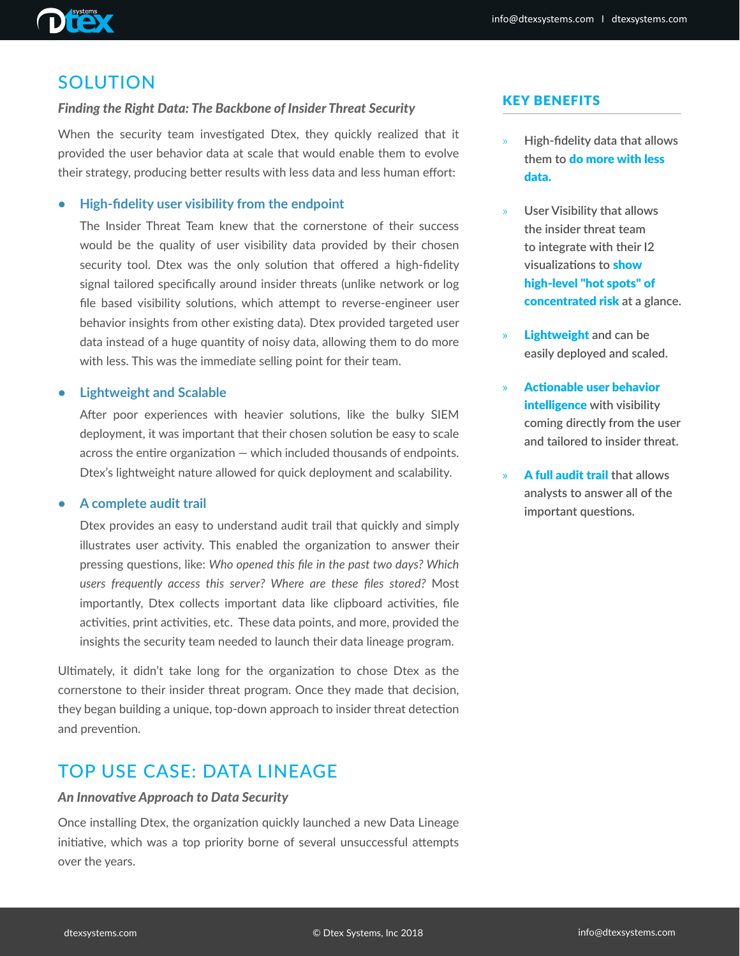## SOLUTION

## *Finding the Right Data: The Backbone of Insider Threat Security*

When the security team investigated Dtex, they quickly realized that it provided the user behavior data at scale that would enable them to evolve their strategy, producing better results with less data and less human effort:

## **• High-fidelity user visibility from the endpoint**

The Insider Threat Team knew that the cornerstone of their success would be the quality of user visibility data provided by their chosen security tool. Dtex was the only solution that offered a high-fidelity signal tailored specifically around insider threats (unlike network or log file based visibility solutions, which attempt to reverse-engineer user behavior insights from other existing data). Dtex provided targeted user data instead of a huge quantity of noisy data, allowing them to do more with less. This was the immediate selling point for their team.

### **• Lightweight and Scalable**

After poor experiences with heavier solutions, like the bulky SIEM deployment, it was important that their chosen solution be easy to scale across the entire organization — which included thousands of endpoints. Dtex's lightweight nature allowed for quick deployment and scalability.

### **• A complete audit trail**

Dtex provides an easy to understand audit trail that quickly and simply illustrates user activity. This enabled the organization to answer their pressing questions, like: *Who opened this file in the past two days? Which users frequently access this server? Where are these files stored?* Most importantly, Dtex collects important data like clipboard activities, file activities, print activities, etc. These data points, and more, provided the insights the security team needed to launch their data lineage program.

Ultimately, it didn't take long for the organization to chose Dtex as the cornerstone to their insider threat program. Once they made that decision, they began building a unique, top-down approach to insider threat detection and prevention.

## TOP USE CASE: DATA LINEAGE

### *An Innovative Approach to Data Security*

Once installing Dtex, the organization quickly launched a new Data Lineage initiative, which was a top priority borne of several unsuccessful attempts over the years.

## KEY BENEFITS

- » **High-fidelity data that allows them to** do more with less data.
- » **User Visibility that allows the insider threat team to integrate with their I2 visualizations to** show high-level "hot spots" of concentrated risk **at a glance.**
- » Lightweight **and can be easily deployed and scaled.**
- » Actionable user behavior intelligence **with visibility coming directly from the user and tailored to insider threat.**
- » A full audit trail **that allows analysts to answer all of the important questions.**